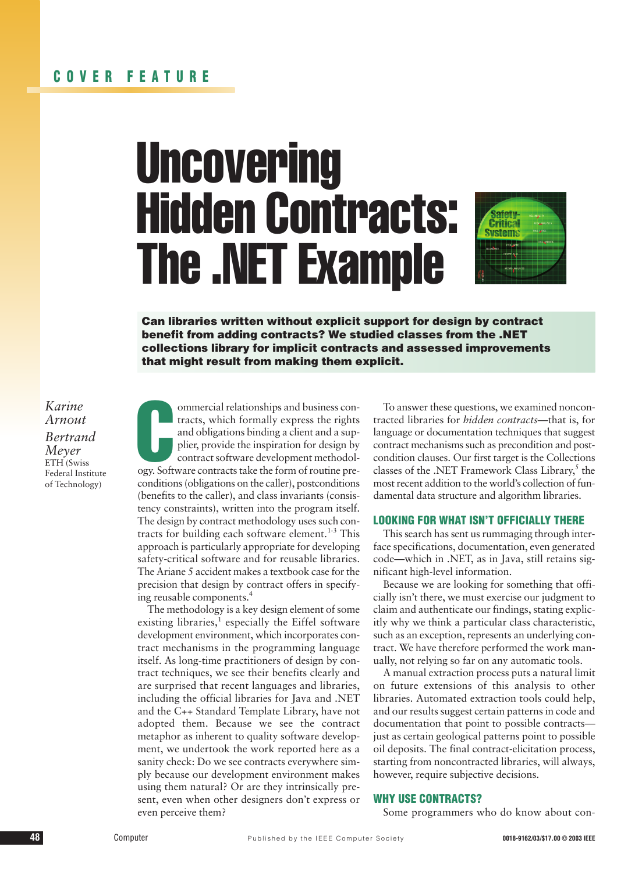# **COVER FEATURE**

# **Uncovering** Hidden Contracts: The .NET Example



**Can libraries written without explicit support for design by contract benefit from adding contracts? We studied classes from the .NET collections library for implicit contracts and assessed improvements that might result from making them explicit.**

*Karine Arnout Bertrand Meyer* ETH (Swiss Federal Institute of Technology)

ommercial relationships and business contracts, which formally express the rights and obligations binding a client and a supplier, provide the inspiration for design by contract software development methodology. Software c ommercial relationships and business contracts, which formally express the rights and obligations binding a client and a supplier, provide the inspiration for design by contract software development methodolconditions (obligations on the caller), postconditions (benefits to the caller), and class invariants (consistency constraints), written into the program itself. The design by contract methodology uses such contracts for building each software element.<sup>1-3</sup> This approach is particularly appropriate for developing safety-critical software and for reusable libraries. The Ariane 5 accident makes a textbook case for the precision that design by contract offers in specifying reusable components.4

The methodology is a key design element of some existing libraries, $<sup>1</sup>$  especially the Eiffel software</sup> development environment, which incorporates contract mechanisms in the programming language itself. As long-time practitioners of design by contract techniques, we see their benefits clearly and are surprised that recent languages and libraries, including the official libraries for Java and .NET and the C++ Standard Template Library, have not adopted them. Because we see the contract metaphor as inherent to quality software development, we undertook the work reported here as a sanity check: Do we see contracts everywhere simply because our development environment makes using them natural? Or are they intrinsically present, even when other designers don't express or even perceive them?

To answer these questions, we examined noncontracted libraries for *hidden contracts*—that is, for language or documentation techniques that suggest contract mechanisms such as precondition and postcondition clauses. Our first target is the Collections classes of the .NET Framework Class Library, $<sup>5</sup>$  the</sup> most recent addition to the world's collection of fundamental data structure and algorithm libraries.

# **LOOKING FOR WHAT ISN'T OFFICIALLY THERE**

This search has sent us rummaging through interface specifications, documentation, even generated code—which in .NET, as in Java, still retains significant high-level information.

Because we are looking for something that officially isn't there, we must exercise our judgment to claim and authenticate our findings, stating explicitly why we think a particular class characteristic, such as an exception, represents an underlying contract. We have therefore performed the work manually, not relying so far on any automatic tools.

A manual extraction process puts a natural limit on future extensions of this analysis to other libraries. Automated extraction tools could help, and our results suggest certain patterns in code and documentation that point to possible contracts just as certain geological patterns point to possible oil deposits. The final contract-elicitation process, starting from noncontracted libraries, will always, however, require subjective decisions.

#### **WHY USE CONTRACTS?**

Some programmers who do know about con-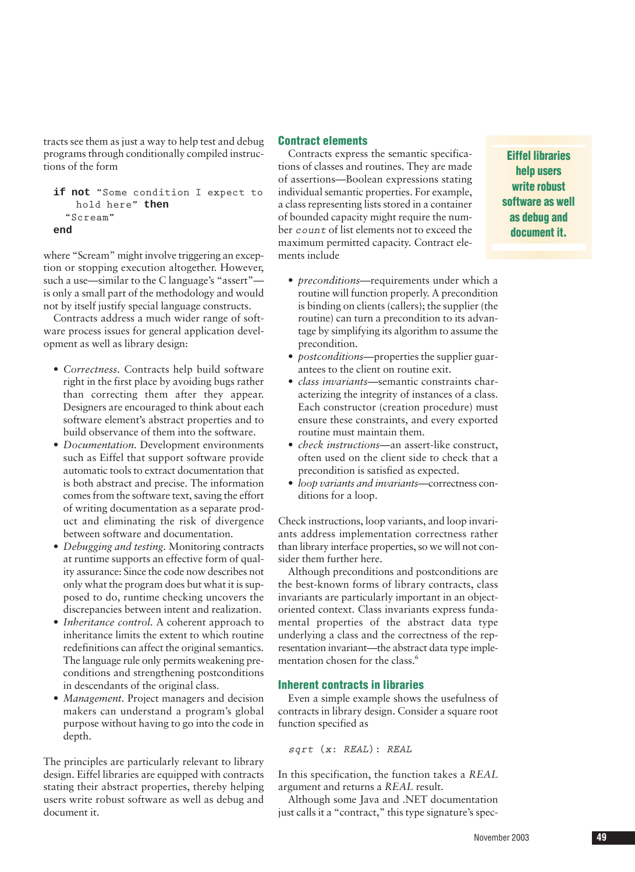tracts see them as just a way to help test and debug programs through conditionally compiled instructions of the form

```
if not "Some condition I expect to
   hold here" then
  "Scream"
end
```
where "Scream" might involve triggering an exception or stopping execution altogether. However, such a use—similar to the C language's "assert" is only a small part of the methodology and would not by itself justify special language constructs.

Contracts address a much wider range of software process issues for general application development as well as library design:

- *Correctness.* Contracts help build software right in the first place by avoiding bugs rather than correcting them after they appear. Designers are encouraged to think about each software element's abstract properties and to build observance of them into the software.
- *Documentation.* Development environments such as Eiffel that support software provide automatic tools to extract documentation that is both abstract and precise. The information comes from the software text, saving the effort of writing documentation as a separate product and eliminating the risk of divergence between software and documentation.
- *Debugging and testing.* Monitoring contracts at runtime supports an effective form of quality assurance: Since the code now describes not only what the program does but what it is supposed to do, runtime checking uncovers the discrepancies between intent and realization.
- *Inheritance control.* A coherent approach to inheritance limits the extent to which routine redefinitions can affect the original semantics. The language rule only permits weakening preconditions and strengthening postconditions in descendants of the original class.
- *Management.* Project managers and decision makers can understand a program's global purpose without having to go into the code in depth.

The principles are particularly relevant to library design. Eiffel libraries are equipped with contracts stating their abstract properties, thereby helping users write robust software as well as debug and document it.

# **Contract elements**

Contracts express the semantic specifications of classes and routines. They are made of assertions—Boolean expressions stating individual semantic properties. For example, a class representing lists stored in a container of bounded capacity might require the number *count* of list elements not to exceed the maximum permitted capacity. Contract elements include

- **Eiffel libraries help users write robust software as well as debug and document it.**
- *preconditions*—requirements under which a routine will function properly. A precondition is binding on clients (callers); the supplier (the routine) can turn a precondition to its advantage by simplifying its algorithm to assume the precondition.
- *postconditions*—properties the supplier guarantees to the client on routine exit.
- *class invariants*—semantic constraints characterizing the integrity of instances of a class. Each constructor (creation procedure) must ensure these constraints, and every exported routine must maintain them.
- *check instructions*—an assert-like construct, often used on the client side to check that a precondition is satisfied as expected.
- *loop variants and invariants*—correctness conditions for a loop.

Check instructions, loop variants, and loop invariants address implementation correctness rather than library interface properties, so we will not consider them further here.

Although preconditions and postconditions are the best-known forms of library contracts, class invariants are particularly important in an objectoriented context. Class invariants express fundamental properties of the abstract data type underlying a class and the correctness of the representation invariant—the abstract data type implementation chosen for the class.<sup>6</sup>

# **Inherent contracts in libraries**

Even a simple example shows the usefulness of contracts in library design. Consider a square root function specified as

```
sqrt (x: REAL): REAL
```
In this specification, the function takes a *REAL* argument and returns a *REAL* result.

Although some Java and .NET documentation just calls it a "contract," this type signature's spec-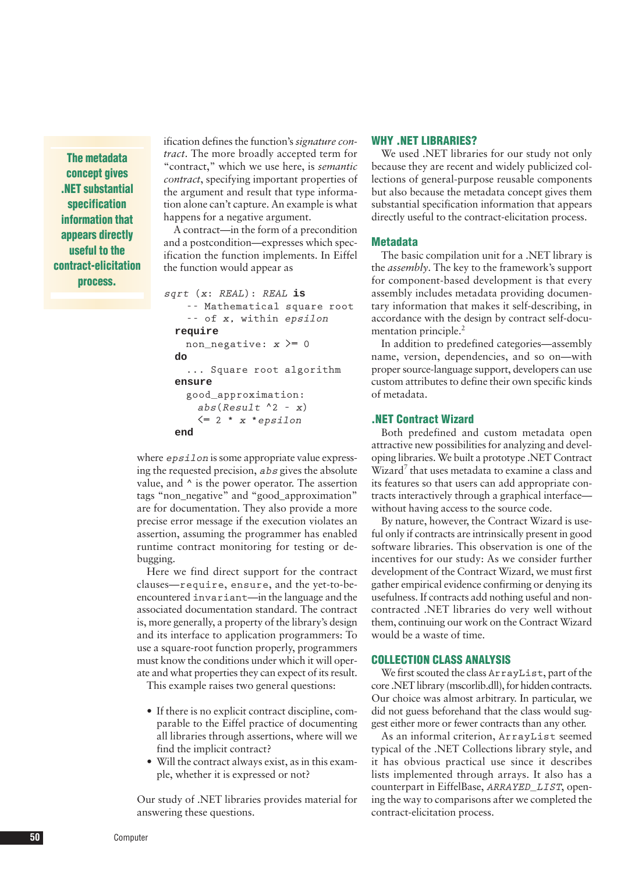**The metadata concept gives .NET substantial specification information that appears directly useful to the contract-elicitation process.** 

ification defines the function's *signature contract*. The more broadly accepted term for "contract," which we use here, is *semantic contract*, specifying important properties of the argument and result that type information alone can't capture. An example is what happens for a negative argument.

A contract—in the form of a precondition and a postcondition—expresses which specification the function implements. In Eiffel the function would appear as

```
sqrt (x: REAL): REAL is
   -- Mathematical square root 
   -- of x, within epsilon
 require
   non_negative: x >= 0
 do
   ... Square root algorithm 
 ensure
   good_approximation: 
     abs(Result ^2 – x) 
     <= 2 * x *epsilon
 end
```
where *epsilon* is some appropriate value expressing the requested precision, *abs* gives the absolute value, and **^** is the power operator. The assertion tags "non\_negative" and "good\_approximation" are for documentation. They also provide a more precise error message if the execution violates an assertion, assuming the programmer has enabled runtime contract monitoring for testing or debugging.

Here we find direct support for the contract clauses—**require**, **ensure**, and the yet-to-beencountered **invariant**—in the language and the associated documentation standard. The contract is, more generally, a property of the library's design and its interface to application programmers: To use a square-root function properly, programmers must know the conditions under which it will operate and what properties they can expect of its result.

This example raises two general questions:

- If there is no explicit contract discipline, comparable to the Eiffel practice of documenting all libraries through assertions, where will we find the implicit contract?
- Will the contract always exist, as in this example, whether it is expressed or not?

Our study of .NET libraries provides material for answering these questions.

# **WHY .NET LIBRARIES?**

We used .NET libraries for our study not only because they are recent and widely publicized collections of general-purpose reusable components but also because the metadata concept gives them substantial specification information that appears directly useful to the contract-elicitation process.

# **Metadata**

The basic compilation unit for a .NET library is the *assembly*. The key to the framework's support for component-based development is that every assembly includes metadata providing documentary information that makes it self-describing, in accordance with the design by contract self-documentation principle.<sup>2</sup>

In addition to predefined categories—assembly name, version, dependencies, and so on—with proper source-language support, developers can use custom attributes to define their own specific kinds of metadata.

# **.NET Contract Wizard**

Both predefined and custom metadata open attractive new possibilities for analyzing and developing libraries. We built a prototype .NET Contract Wizard<sup>7</sup> that uses metadata to examine a class and its features so that users can add appropriate contracts interactively through a graphical interface without having access to the source code.

By nature, however, the Contract Wizard is useful only if contracts are intrinsically present in good software libraries. This observation is one of the incentives for our study: As we consider further development of the Contract Wizard, we must first gather empirical evidence confirming or denying its usefulness. If contracts add nothing useful and noncontracted .NET libraries do very well without them, continuing our work on the Contract Wizard would be a waste of time.

# **COLLECTION CLASS ANALYSIS**

We first scouted the class **ArrayList**, part of the core .NET library (mscorlib.dll), for hidden contracts. Our choice was almost arbitrary. In particular, we did not guess beforehand that the class would suggest either more or fewer contracts than any other.

As an informal criterion, **ArrayList** seemed typical of the .NET Collections library style, and it has obvious practical use since it describes lists implemented through arrays. It also has a counterpart in EiffelBase, *ARRAYED\_LIST*, opening the way to comparisons after we completed the contract-elicitation process.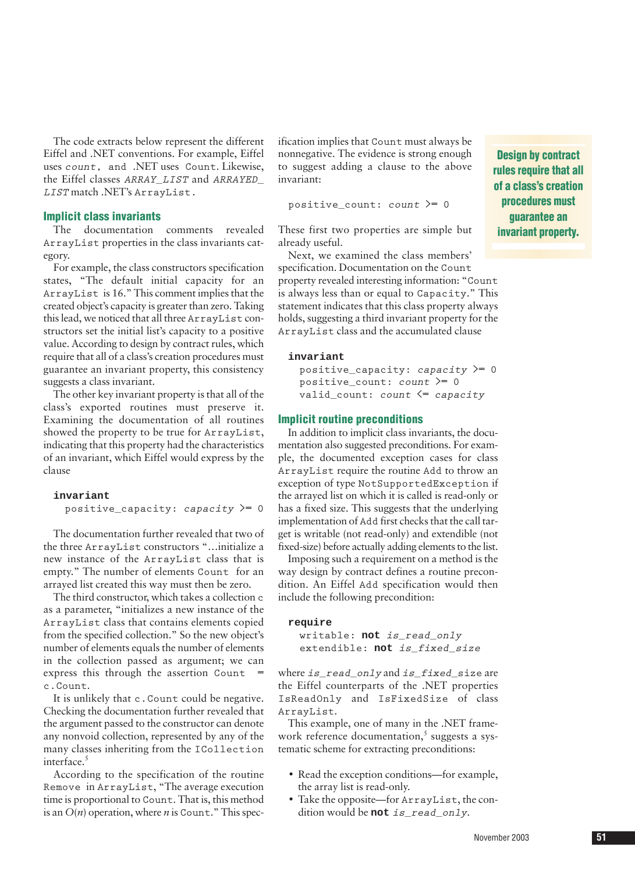The code extracts below represent the different Eiffel and .NET conventions. For example, Eiffel uses *count***, and** .NET uses **Count**. Likewise, the Eiffel classes *ARRAY\_LIST* and *ARRAYED\_ LIST* match .NET's **ArrayList.**

## **Implicit class invariants**

The documentation comments revealed **ArrayList** properties in the class invariants category.

For example, the class constructors specification states, "The default initial capacity for an **ArrayList** is 16." This comment implies that the created object's capacity is greater than zero. Taking this lead, we noticed that all three **ArrayList** constructors set the initial list's capacity to a positive value. According to design by contract rules, which require that all of a class's creation procedures must guarantee an invariant property, this consistency suggests a class invariant.

The other key invariant property is that all of the class's exported routines must preserve it. Examining the documentation of all routines showed the property to be true for **ArrayList**, indicating that this property had the characteristics of an invariant, which Eiffel would express by the clause

#### **invariant**

**positive\_capacity:** *capacity* **>= 0**

The documentation further revealed that two of the three **ArrayList** constructors "…initialize a new instance of the **ArrayList** class that is empty." The number of elements **Count** for an arrayed list created this way must then be zero.

The third constructor, which takes a collection **c** as a parameter, "initializes a new instance of the **ArrayList** class that contains elements copied from the specified collection." So the new object's number of elements equals the number of elements in the collection passed as argument; we can express this through the assertion Count **c.Count**.

It is unlikely that **c.Count** could be negative. Checking the documentation further revealed that the argument passed to the constructor can denote any nonvoid collection, represented by any of the many classes inheriting from the **ICollection** interface.<sup>5</sup>

According to the specification of the routine **Remove** in **ArrayList**, "The average execution time is proportional to **Count**. That is, this method is an  $O(n)$  operation, where *n* is Count." This specification implies that **Count** must always be nonnegative. The evidence is strong enough to suggest adding a clause to the above invariant:

```
positive_count: count >= 0
```
These first two properties are simple but already useful.

Next, we examined the class members' specification. Documentation on the **Count** property revealed interesting information: "**Count** is always less than or equal to **Capacity**." This statement indicates that this class property always holds, suggesting a third invariant property for the **ArrayList** class and the accumulated clause

# **invariant**

**positive\_capacity:** *capacity* **>= 0 positive\_count:** *count* **>= 0 valid\_count:** *count* **<=** *capacity*

#### **Implicit routine preconditions**

In addition to implicit class invariants, the documentation also suggested preconditions. For example, the documented exception cases for class **ArrayList** require the routine **Add** to throw an exception of type **NotSupportedException** if the arrayed list on which it is called is read-only or has a fixed size. This suggests that the underlying implementation of **Add** first checks that the call target is writable (not read-only) and extendible (not fixed-size) before actually adding elements to the list.

Imposing such a requirement on a method is the way design by contract defines a routine precondition. An Eiffel **Add** specification would then include the following precondition:

# **require**

```
writable: not is_read_only
extendible: not is_fixed_size
```
where *is\_read\_only* and *is\_fixed***\_size** are the Eiffel counterparts of the .NET properties **IsReadOnly** and **IsFixedSize** of class **ArrayList**.

This example, one of many in the .NET framework reference documentation, $\frac{5}{3}$  suggests a systematic scheme for extracting preconditions:

- Read the exception conditions—for example, the array list is read-only.
- Take the opposite—for **ArrayList**, the condition would be **not** *is\_read\_only*.

**Design by contract rules require that all of a class's creation procedures must guarantee an invariant property.**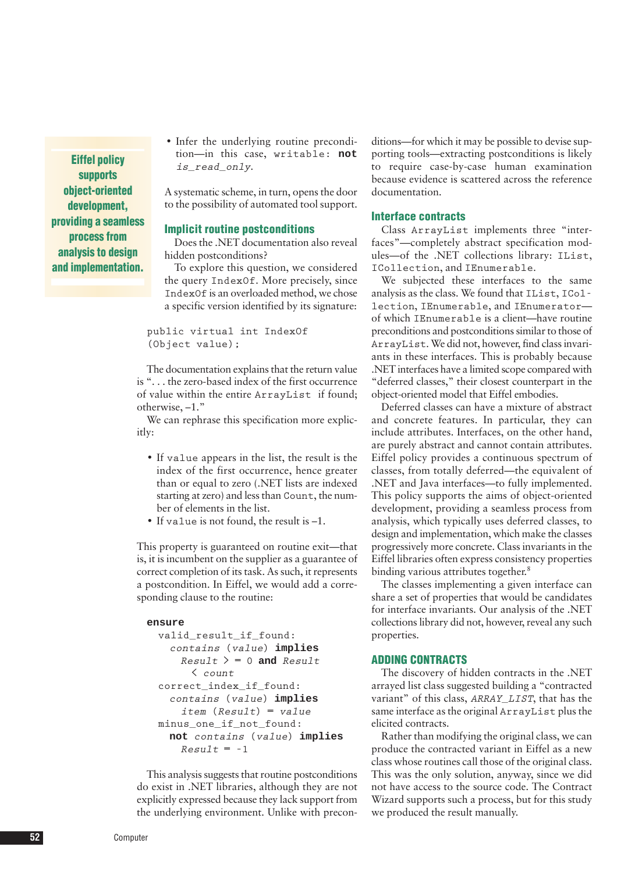**Eiffel policy supports object-oriented development, providing a seamless process from analysis to design and implementation.**

• Infer the underlying routine precondition—in this case, **writable: not** *is\_read\_only*.

A systematic scheme, in turn, opens the door to the possibility of automated tool support.

## **Implicit routine postconditions**

Does the .NET documentation also reveal hidden postconditions?

To explore this question, we considered the query **IndexOf**. More precisely, since **IndexOf** is an overloaded method, we chose a specific version identified by its signature:

```
public virtual int IndexOf
(Object value);
```
The documentation explains that the return value is ". . . the zero-based index of the first occurrence of value within the entire **ArrayList** if found; otherwise, –1."

We can rephrase this specification more explicitly:

- If **value** appears in the list, the result is the index of the first occurrence, hence greater than or equal to zero (.NET lists are indexed starting at zero) and less than **Count**, the number of elements in the list.
- If **value** is not found, the result is –1.

This property is guaranteed on routine exit—that is, it is incumbent on the supplier as a guarantee of correct completion of its task. As such, it represents a postcondition. In Eiffel, we would add a corresponding clause to the routine:

# **ensure**

```
valid_result_if_found:
  contains (value) implies
   Result > = 0 and Result< count
correct_index_if_found: 
  contains (value) implies
   item (Result) = value
minus_one_if_not_found: 
 not contains (value) implies
   Result = -1
```
This analysis suggests that routine postconditions do exist in .NET libraries, although they are not explicitly expressed because they lack support from the underlying environment. Unlike with preconditions—for which it may be possible to devise supporting tools—extracting postconditions is likely to require case-by-case human examination because evidence is scattered across the reference documentation.

# **Interface contracts**

Class **ArrayList** implements three "interfaces"—completely abstract specification modules—of the .NET collections library: **IList**, **ICollection**, and **IEnumerable**.

We subjected these interfaces to the same analysis as the class. We found that **IList**, **ICollection**, **IEnumerable**, and **IEnumerator** of which **IEnumerable** is a client—have routine preconditions and postconditions similar to those of **ArrayList**. We did not, however, find class invariants in these interfaces. This is probably because .NET interfaces have a limited scope compared with "deferred classes," their closest counterpart in the object-oriented model that Eiffel embodies.

Deferred classes can have a mixture of abstract and concrete features. In particular, they can include attributes. Interfaces, on the other hand, are purely abstract and cannot contain attributes. Eiffel policy provides a continuous spectrum of classes, from totally deferred—the equivalent of .NET and Java interfaces—to fully implemented. This policy supports the aims of object-oriented development, providing a seamless process from analysis, which typically uses deferred classes, to design and implementation, which make the classes progressively more concrete. Class invariants in the Eiffel libraries often express consistency properties binding various attributes together.<sup>8</sup>

The classes implementing a given interface can share a set of properties that would be candidates for interface invariants. Our analysis of the .NET collections library did not, however, reveal any such properties.

# **ADDING CONTRACTS**

The discovery of hidden contracts in the .NET arrayed list class suggested building a "contracted variant" of this class, *ARRAY\_LIST*, that has the same interface as the original **ArrayList** plus the elicited contracts.

Rather than modifying the original class, we can produce the contracted variant in Eiffel as a new class whose routines call those of the original class. This was the only solution, anyway, since we did not have access to the source code. The Contract Wizard supports such a process, but for this study we produced the result manually.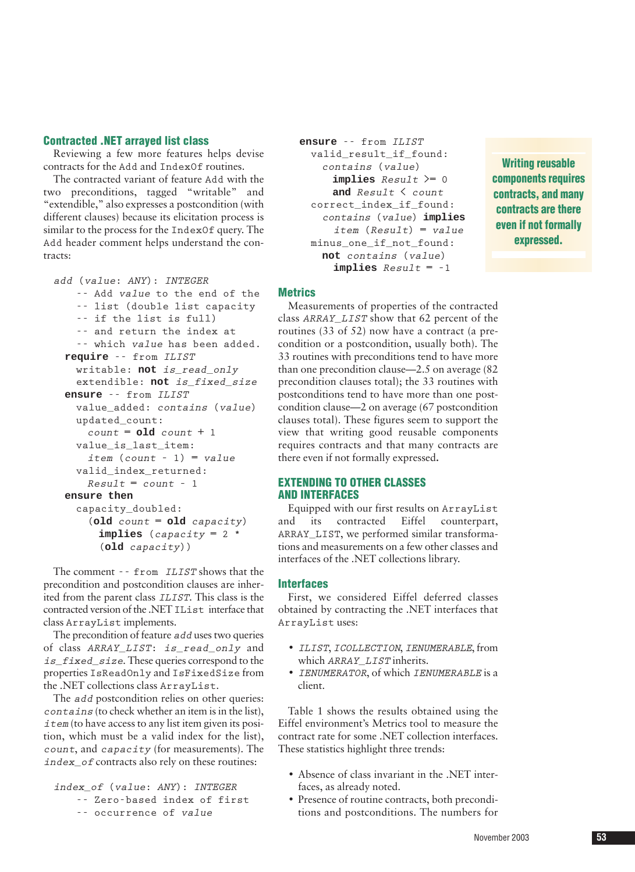# **Contracted .NET arrayed list class**

Reviewing a few more features helps devise contracts for the **Add** and **IndexOf** routines.

The contracted variant of feature **Add** with the two preconditions, tagged "writable" and "extendible," also expresses a postcondition (with different clauses) because its elicitation process is similar to the process for the **IndexOf** query. The **Add** header comment helps understand the contracts:

```
add (value: ANY): INTEGER
   -- Add value to the end of the
```

```
-- list (double list capacity 
  -- if the list is full)
  -- and return the index at 
  -- which value has been added. 
require -- from ILIST
 writable: not is_read_only
  extendible: not is_fixed_size
ensure -- from ILIST
 value_added: contains (value)
 updated_count: 
   count = old count + 1value_is_last_item: 
    item (count - 1) = valuevalid_index_returned: 
   Result = count - 1ensure then
 capacity_doubled: 
    (old count = old capacity)
```

```
implies (capacity = 2 * 
(old capacity))
```
The comment **-- from** *ILIST* shows that the precondition and postcondition clauses are inherited from the parent class *ILIST*. This class is the contracted version of the .NET **IList** interface that class **ArrayList** implements.

The precondition of feature *add* uses two queries of class *ARRAY\_LIST***:** *is\_read\_only* and *is\_fixed\_size*. These queries correspond to the properties **IsReadOnly** and **IsFixedSize** from the .NET collections class **ArrayList**.

The *add* postcondition relies on other queries: *contains* (to check whether an item is in the list), *item* (to have access to any list item given its position, which must be a valid index for the list), *count*, and *capacity* (for measurements). The *index\_of* contracts also rely on these routines:

```
index_of (value: ANY): INTEGER
   -- Zero-based index of first
   -- occurrence of value
```

```
ensure -- from ILIST
  valid_result_if_found:
   contains (value)
     implies Result >= 0
     and Result < count
  correct_index_if_found:
    contains (value) implies
     item (Result) = value
 minus_one_if_not_found:
   not contains (value)
     implies Result = -1
```
**Writing reusable components requires contracts, and many contracts are there even if not formally expressed.**

# **Metrics**

Measurements of properties of the contracted class *ARRAY\_LIST* show that 62 percent of the routines (33 of 52) now have a contract (a precondition or a postcondition, usually both). The 33 routines with preconditions tend to have more than one precondition clause—2.5 on average (82 precondition clauses total); the 33 routines with postconditions tend to have more than one postcondition clause—2 on average (67 postcondition clauses total). These figures seem to support the view that writing good reusable components requires contracts and that many contracts are there even if not formally expressed**.**

# **EXTENDING TO OTHER CLASSES AND INTERFACES**

Equipped with our first results on **ArrayList** and its contracted Eiffel counterpart, **ARRAY\_LIST**, we performed similar transformations and measurements on a few other classes and interfaces of the .NET collections library.

# **Interfaces**

First, we considered Eiffel deferred classes obtained by contracting the .NET interfaces that **ArrayList** uses:

- *ILIST*, *ICOLLECTION*, *IENUMERABLE*, from which *ARRAY\_LIST* inherits.
- *IENUMERATOR*, of which *IENUMERABLE* is a client.

Table 1 shows the results obtained using the Eiffel environment's Metrics tool to measure the contract rate for some .NET collection interfaces. These statistics highlight three trends:

- Absence of class invariant in the .NET interfaces, as already noted.
- Presence of routine contracts, both preconditions and postconditions. The numbers for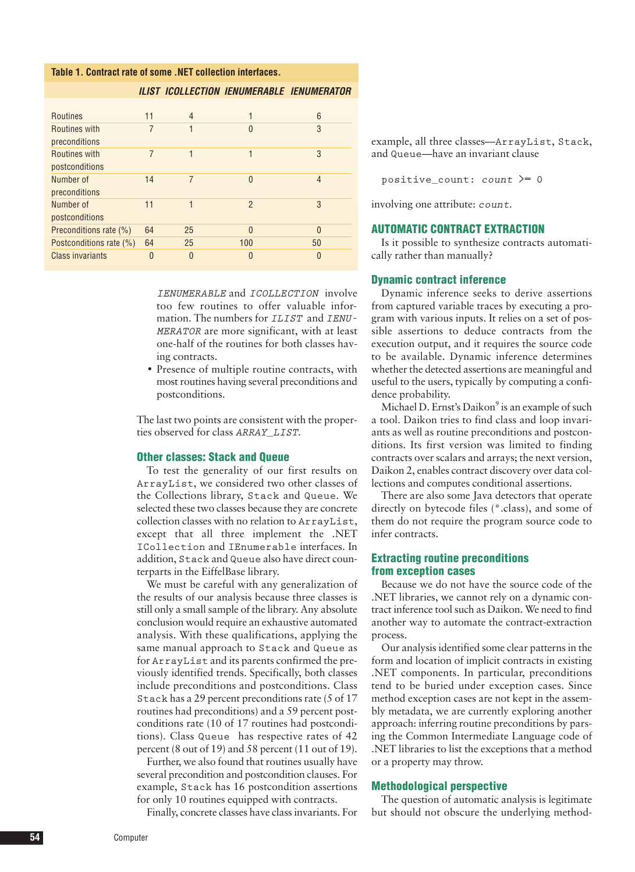# **Table 1. Contract rate of some .NET collection interfaces.**

*ILIST ICOLLECTION IENUMERABLE IENUMERATOR*

| <b>Routines</b>         | 11 | 4        |                | 6            |
|-------------------------|----|----------|----------------|--------------|
| Routines with           | 7  |          | 0              | 3            |
| preconditions           |    |          |                |              |
| Routines with           | 7  |          |                | 3            |
| postconditions          |    |          |                |              |
| Number of               | 14 | 7        | 0              | 4            |
| preconditions           |    |          |                |              |
| Number of               | 11 |          | $\mathfrak{p}$ | 3            |
| postconditions          |    |          |                |              |
| Preconditions rate (%)  | 64 | 25       | 0              | <sup>0</sup> |
| Postconditions rate (%) | 64 | 25       | 100            | 50           |
| <b>Class invariants</b> | N  | $\Omega$ | $\overline{0}$ | 0            |

*IENUMERABLE* and *ICOLLECTION* involve too few routines to offer valuable information. The numbers for *ILIST* and *IENU-MERATOR* are more significant, with at least one-half of the routines for both classes having contracts.

• Presence of multiple routine contracts, with most routines having several preconditions and postconditions.

The last two points are consistent with the properties observed for class *ARRAY\_LIST*.

# **Other classes: Stack and Queue**

To test the generality of our first results on **ArrayList**, we considered two other classes of the Collections library, **Stack** and **Queue**. We selected these two classes because they are concrete collection classes with no relation to **ArrayList**, except that all three implement the .NET **ICollection** and **IEnumerable** interfaces. In addition, **Stack** and **Queue** also have direct counterparts in the EiffelBase library.

We must be careful with any generalization of the results of our analysis because three classes is still only a small sample of the library. Any absolute conclusion would require an exhaustive automated analysis. With these qualifications, applying the same manual approach to **Stack** and **Queue** as for **ArrayList** and its parents confirmed the previously identified trends. Specifically, both classes include preconditions and postconditions. Class **Stack** has a 29 percent preconditions rate (5 of 17 routines had preconditions) and a 59 percent postconditions rate (10 of 17 routines had postconditions). Class **Queue** has respective rates of 42 percent (8 out of 19) and 58 percent (11 out of 19).

Further, we also found that routines usually have several precondition and postcondition clauses. For example, **Stack** has 16 postcondition assertions for only 10 routines equipped with contracts.

Finally, concrete classes have class invariants. For

example, all three classes—**ArrayList**, **Stack**, and **Queue**—have an invariant clause

**positive\_count:** *count* **>= 0**

involving one attribute: *count*.

# **AUTOMATIC CONTRACT EXTRACTION**

Is it possible to synthesize contracts automatically rather than manually?

# **Dynamic contract inference**

Dynamic inference seeks to derive assertions from captured variable traces by executing a program with various inputs. It relies on a set of possible assertions to deduce contracts from the execution output, and it requires the source code to be available. Dynamic inference determines whether the detected assertions are meaningful and useful to the users, typically by computing a confidence probability.

Michael D. Ernst's Daikon<sup>9</sup> is an example of such a tool. Daikon tries to find class and loop invariants as well as routine preconditions and postconditions. Its first version was limited to finding contracts over scalars and arrays; the next version, Daikon 2, enables contract discovery over data collections and computes conditional assertions.

There are also some Java detectors that operate directly on bytecode files (\*.class), and some of them do not require the program source code to infer contracts.

# **Extracting routine preconditions from exception cases**

Because we do not have the source code of the .NET libraries, we cannot rely on a dynamic contract inference tool such as Daikon. We need to find another way to automate the contract-extraction process.

Our analysis identified some clear patterns in the form and location of implicit contracts in existing .NET components. In particular, preconditions tend to be buried under exception cases. Since method exception cases are not kept in the assembly metadata, we are currently exploring another approach: inferring routine preconditions by parsing the Common Intermediate Language code of .NET libraries to list the exceptions that a method or a property may throw.

# **Methodological perspective**

The question of automatic analysis is legitimate but should not obscure the underlying method-